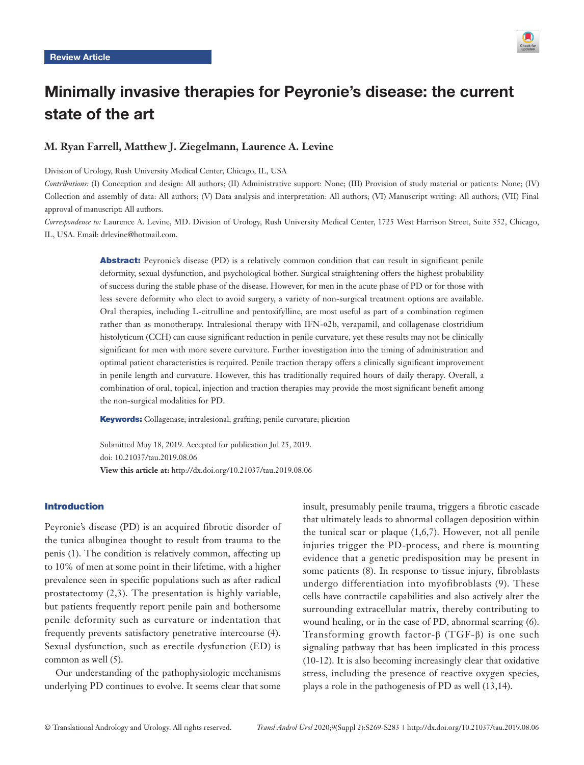

# Minimally invasive therapies for Peyronie's disease: the current state of the art

# **M. Ryan Farrell, Matthew J. Ziegelmann, Laurence A. Levine**

Division of Urology, Rush University Medical Center, Chicago, IL, USA

*Contributions:* (I) Conception and design: All authors; (II) Administrative support: None; (III) Provision of study material or patients: None; (IV) Collection and assembly of data: All authors; (V) Data analysis and interpretation: All authors; (VI) Manuscript writing: All authors; (VII) Final approval of manuscript: All authors.

*Correspondence to:* Laurence A. Levine, MD. Division of Urology, Rush University Medical Center, 1725 West Harrison Street, Suite 352, Chicago, IL, USA. Email: drlevine@hotmail.com.

> Abstract: Peyronie's disease (PD) is a relatively common condition that can result in significant penile deformity, sexual dysfunction, and psychological bother. Surgical straightening offers the highest probability of success during the stable phase of the disease. However, for men in the acute phase of PD or for those with less severe deformity who elect to avoid surgery, a variety of non-surgical treatment options are available. Oral therapies, including L-citrulline and pentoxifylline, are most useful as part of a combination regimen rather than as monotherapy. Intralesional therapy with IFN-α2b, verapamil, and collagenase clostridium histolyticum (CCH) can cause significant reduction in penile curvature, yet these results may not be clinically significant for men with more severe curvature. Further investigation into the timing of administration and optimal patient characteristics is required. Penile traction therapy offers a clinically significant improvement in penile length and curvature. However, this has traditionally required hours of daily therapy. Overall, a combination of oral, topical, injection and traction therapies may provide the most significant benefit among the non-surgical modalities for PD.

Keywords: Collagenase; intralesional; grafting; penile curvature; plication

Submitted May 18, 2019. Accepted for publication Jul 25, 2019. doi: 10.21037/tau.2019.08.06 **View this article at:** http://dx.doi.org/10.21037/tau.2019.08.06

# Introduction

Peyronie's disease (PD) is an acquired fibrotic disorder of the tunica albuginea thought to result from trauma to the penis (1). The condition is relatively common, affecting up to 10% of men at some point in their lifetime, with a higher prevalence seen in specific populations such as after radical prostatectomy (2,3). The presentation is highly variable, but patients frequently report penile pain and bothersome penile deformity such as curvature or indentation that frequently prevents satisfactory penetrative intercourse (4). Sexual dysfunction, such as erectile dysfunction (ED) is common as well (5).

Our understanding of the pathophysiologic mechanisms underlying PD continues to evolve. It seems clear that some insult, presumably penile trauma, triggers a fibrotic cascade that ultimately leads to abnormal collagen deposition within the tunical scar or plaque (1,6,7). However, not all penile injuries trigger the PD-process, and there is mounting evidence that a genetic predisposition may be present in some patients (8). In response to tissue injury, fibroblasts undergo differentiation into myofibroblasts (9). These cells have contractile capabilities and also actively alter the surrounding extracellular matrix, thereby contributing to wound healing, or in the case of PD, abnormal scarring (6). Transforming growth factor-β (TGF-β) is one such signaling pathway that has been implicated in this process (10-12). It is also becoming increasingly clear that oxidative stress, including the presence of reactive oxygen species, plays a role in the pathogenesis of PD as well (13,14).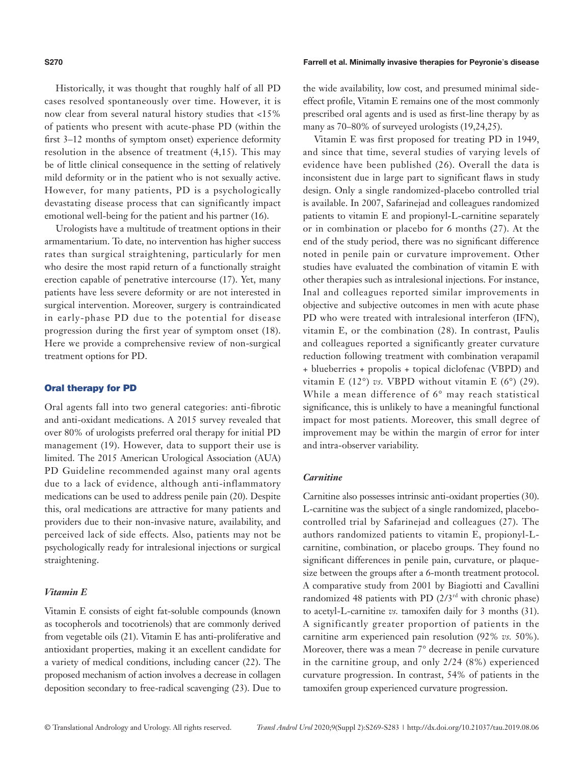Historically, it was thought that roughly half of all PD cases resolved spontaneously over time. However, it is now clear from several natural history studies that <15% of patients who present with acute-phase PD (within the first 3–12 months of symptom onset) experience deformity resolution in the absence of treatment (4,15). This may be of little clinical consequence in the setting of relatively mild deformity or in the patient who is not sexually active. However, for many patients, PD is a psychologically devastating disease process that can significantly impact emotional well-being for the patient and his partner (16).

Urologists have a multitude of treatment options in their armamentarium. To date, no intervention has higher success rates than surgical straightening, particularly for men who desire the most rapid return of a functionally straight erection capable of penetrative intercourse (17). Yet, many patients have less severe deformity or are not interested in surgical intervention. Moreover, surgery is contraindicated in early-phase PD due to the potential for disease progression during the first year of symptom onset (18). Here we provide a comprehensive review of non-surgical treatment options for PD.

# Oral therapy for PD

Oral agents fall into two general categories: anti-fibrotic and anti-oxidant medications. A 2015 survey revealed that over 80% of urologists preferred oral therapy for initial PD management (19). However, data to support their use is limited. The 2015 American Urological Association (AUA) PD Guideline recommended against many oral agents due to a lack of evidence, although anti-inflammatory medications can be used to address penile pain (20). Despite this, oral medications are attractive for many patients and providers due to their non-invasive nature, availability, and perceived lack of side effects. Also, patients may not be psychologically ready for intralesional injections or surgical straightening.

#### *Vitamin E*

Vitamin E consists of eight fat-soluble compounds (known as tocopherols and tocotrienols) that are commonly derived from vegetable oils (21). Vitamin E has anti-proliferative and antioxidant properties, making it an excellent candidate for a variety of medical conditions, including cancer (22). The proposed mechanism of action involves a decrease in collagen deposition secondary to free-radical scavenging (23). Due to

#### **S270** Farrell et al. Minimally invasive therapies for Peyronie's disease

the wide availability, low cost, and presumed minimal sideeffect profile, Vitamin E remains one of the most commonly prescribed oral agents and is used as first-line therapy by as many as 70–80% of surveyed urologists (19,24,25).

Vitamin E was first proposed for treating PD in 1949, and since that time, several studies of varying levels of evidence have been published (26). Overall the data is inconsistent due in large part to significant flaws in study design. Only a single randomized-placebo controlled trial is available. In 2007, Safarinejad and colleagues randomized patients to vitamin E and propionyl-L-carnitine separately or in combination or placebo for 6 months (27). At the end of the study period, there was no significant difference noted in penile pain or curvature improvement. Other studies have evaluated the combination of vitamin E with other therapies such as intralesional injections. For instance, Inal and colleagues reported similar improvements in objective and subjective outcomes in men with acute phase PD who were treated with intralesional interferon (IFN), vitamin E, or the combination (28). In contrast, Paulis and colleagues reported a significantly greater curvature reduction following treatment with combination verapamil + blueberries + propolis + topical diclofenac (VBPD) and vitamin E (12°) *vs.* VBPD without vitamin E (6°) (29). While a mean difference of 6° may reach statistical significance, this is unlikely to have a meaningful functional impact for most patients. Moreover, this small degree of improvement may be within the margin of error for inter and intra-observer variability.

#### *Carnitine*

Carnitine also possesses intrinsic anti-oxidant properties (30). L-carnitine was the subject of a single randomized, placebocontrolled trial by Safarinejad and colleagues (27). The authors randomized patients to vitamin E, propionyl-Lcarnitine, combination, or placebo groups. They found no significant differences in penile pain, curvature, or plaquesize between the groups after a 6-month treatment protocol. A comparative study from 2001 by Biagiotti and Cavallini randomized 48 patients with PD  $(2/3<sup>rd</sup>$  with chronic phase) to acetyl-L-carnitine *vs.* tamoxifen daily for 3 months (31). A significantly greater proportion of patients in the carnitine arm experienced pain resolution (92% *vs.* 50%). Moreover, there was a mean 7° decrease in penile curvature in the carnitine group, and only 2/24 (8%) experienced curvature progression. In contrast, 54% of patients in the tamoxifen group experienced curvature progression.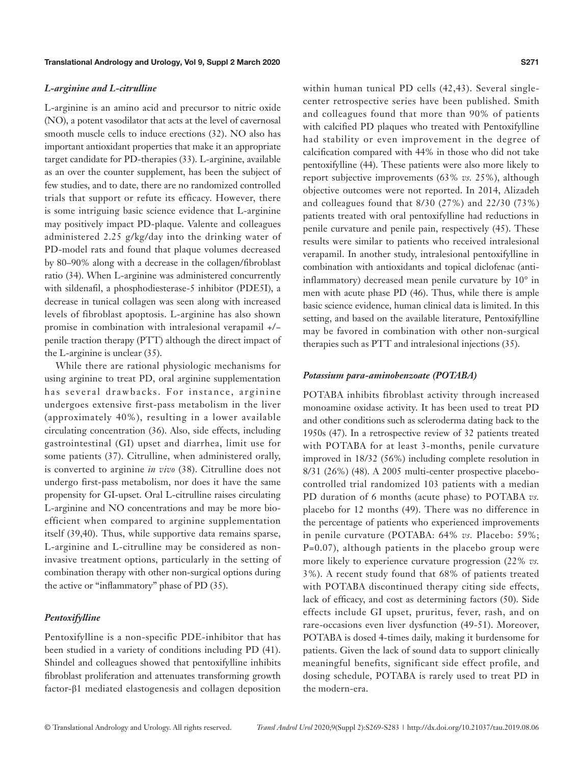#### *L-arginine and L-citrulline*

L-arginine is an amino acid and precursor to nitric oxide (NO), a potent vasodilator that acts at the level of cavernosal smooth muscle cells to induce erections (32). NO also has important antioxidant properties that make it an appropriate target candidate for PD-therapies (33). L-arginine, available as an over the counter supplement, has been the subject of few studies, and to date, there are no randomized controlled trials that support or refute its efficacy. However, there is some intriguing basic science evidence that L-arginine may positively impact PD-plaque. Valente and colleagues administered 2.25 g/kg/day into the drinking water of PD-model rats and found that plaque volumes decreased by 80–90% along with a decrease in the collagen/fibroblast ratio (34). When L-arginine was administered concurrently with sildenafil, a phosphodiesterase-5 inhibitor (PDE5I), a decrease in tunical collagen was seen along with increased levels of fibroblast apoptosis. L-arginine has also shown promise in combination with intralesional verapamil +/− penile traction therapy (PTT) although the direct impact of the L-arginine is unclear (35).

While there are rational physiologic mechanisms for using arginine to treat PD, oral arginine supplementation has several drawbacks. For instance, arginine undergoes extensive first-pass metabolism in the liver (approximately 40%), resulting in a lower available circulating concentration (36). Also, side effects, including gastrointestinal (GI) upset and diarrhea, limit use for some patients (37). Citrulline, when administered orally, is converted to arginine *in vivo* (38). Citrulline does not undergo first-pass metabolism, nor does it have the same propensity for GI-upset. Oral L-citrulline raises circulating L-arginine and NO concentrations and may be more bioefficient when compared to arginine supplementation itself (39,40). Thus, while supportive data remains sparse, L-arginine and L-citrulline may be considered as noninvasive treatment options, particularly in the setting of combination therapy with other non-surgical options during the active or "inflammatory" phase of PD (35).

#### *Pentoxifylline*

Pentoxifylline is a non-specific PDE-inhibitor that has been studied in a variety of conditions including PD (41). Shindel and colleagues showed that pentoxifylline inhibits fibroblast proliferation and attenuates transforming growth factor-β1 mediated elastogenesis and collagen deposition within human tunical PD cells (42,43). Several singlecenter retrospective series have been published. Smith and colleagues found that more than 90% of patients with calcified PD plaques who treated with Pentoxifylline had stability or even improvement in the degree of calcification compared with 44% in those who did not take pentoxifylline (44). These patients were also more likely to report subjective improvements (63% *vs.* 25%), although objective outcomes were not reported. In 2014, Alizadeh and colleagues found that 8/30 (27%) and 22/30 (73%) patients treated with oral pentoxifylline had reductions in penile curvature and penile pain, respectively (45). These results were similar to patients who received intralesional verapamil. In another study, intralesional pentoxifylline in combination with antioxidants and topical diclofenac (antiinflammatory) decreased mean penile curvature by 10° in men with acute phase PD (46). Thus, while there is ample basic science evidence, human clinical data is limited. In this setting, and based on the available literature, Pentoxifylline may be favored in combination with other non-surgical therapies such as PTT and intralesional injections (35).

#### *Potassium para-aminobenzoate (POTABA)*

POTABA inhibits fibroblast activity through increased monoamine oxidase activity. It has been used to treat PD and other conditions such as scleroderma dating back to the 1950s (47). In a retrospective review of 32 patients treated with POTABA for at least 3-months, penile curvature improved in 18/32 (56%) including complete resolution in 8/31 (26%) (48). A 2005 multi-center prospective placebocontrolled trial randomized 103 patients with a median PD duration of 6 months (acute phase) to POTABA *vs.* placebo for 12 months (49). There was no difference in the percentage of patients who experienced improvements in penile curvature (POTABA: 64% *vs.* Placebo: 59%; P=0.07), although patients in the placebo group were more likely to experience curvature progression (22% *vs.* 3%). A recent study found that 68% of patients treated with POTABA discontinued therapy citing side effects, lack of efficacy, and cost as determining factors (50). Side effects include GI upset, pruritus, fever, rash, and on rare-occasions even liver dysfunction (49-51). Moreover, POTABA is dosed 4-times daily, making it burdensome for patients. Given the lack of sound data to support clinically meaningful benefits, significant side effect profile, and dosing schedule, POTABA is rarely used to treat PD in the modern-era.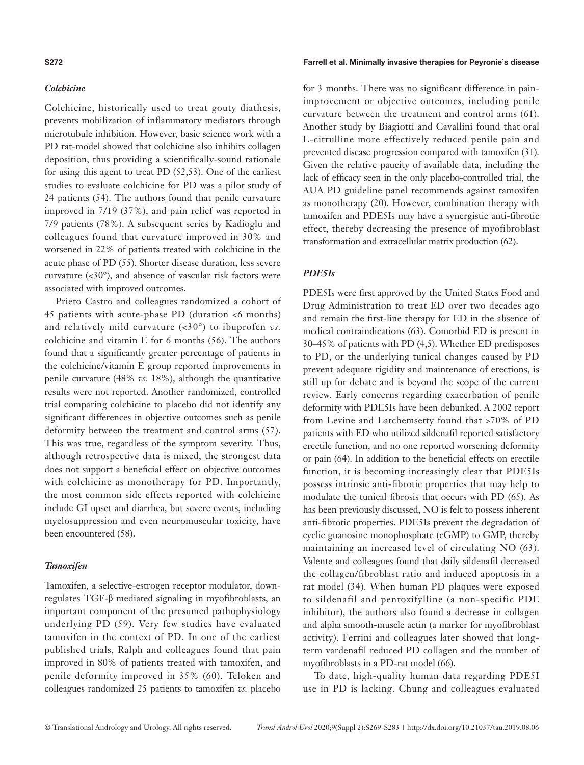### *Colchicine*

Colchicine, historically used to treat gouty diathesis, prevents mobilization of inflammatory mediators through microtubule inhibition. However, basic science work with a PD rat-model showed that colchicine also inhibits collagen deposition, thus providing a scientifically-sound rationale for using this agent to treat PD (52,53). One of the earliest studies to evaluate colchicine for PD was a pilot study of 24 patients (54). The authors found that penile curvature improved in 7/19 (37%), and pain relief was reported in 7/9 patients (78%). A subsequent series by Kadioglu and colleagues found that curvature improved in 30% and worsened in 22% of patients treated with colchicine in the acute phase of PD (55). Shorter disease duration, less severe curvature (<30°), and absence of vascular risk factors were associated with improved outcomes.

Prieto Castro and colleagues randomized a cohort of 45 patients with acute-phase PD (duration <6 months) and relatively mild curvature (<30°) to ibuprofen *vs.* colchicine and vitamin E for 6 months (56). The authors found that a significantly greater percentage of patients in the colchicine/vitamin E group reported improvements in penile curvature (48% *vs.* 18%), although the quantitative results were not reported. Another randomized, controlled trial comparing colchicine to placebo did not identify any significant differences in objective outcomes such as penile deformity between the treatment and control arms (57). This was true, regardless of the symptom severity. Thus, although retrospective data is mixed, the strongest data does not support a beneficial effect on objective outcomes with colchicine as monotherapy for PD. Importantly, the most common side effects reported with colchicine include GI upset and diarrhea, but severe events, including myelosuppression and even neuromuscular toxicity, have been encountered (58).

# *Tamoxifen*

Tamoxifen, a selective-estrogen receptor modulator, downregulates TGF-β mediated signaling in myofibroblasts, an important component of the presumed pathophysiology underlying PD (59). Very few studies have evaluated tamoxifen in the context of PD. In one of the earliest published trials, Ralph and colleagues found that pain improved in 80% of patients treated with tamoxifen, and penile deformity improved in 35% (60). Teloken and colleagues randomized 25 patients to tamoxifen *vs.* placebo

#### **S272** Farrell et al. Minimally invasive therapies for Peyronie's disease

for 3 months. There was no significant difference in painimprovement or objective outcomes, including penile curvature between the treatment and control arms (61). Another study by Biagiotti and Cavallini found that oral L-citrulline more effectively reduced penile pain and prevented disease progression compared with tamoxifen (31). Given the relative paucity of available data, including the lack of efficacy seen in the only placebo-controlled trial, the AUA PD guideline panel recommends against tamoxifen as monotherapy (20). However, combination therapy with tamoxifen and PDE5Is may have a synergistic anti-fibrotic effect, thereby decreasing the presence of myofibroblast transformation and extracellular matrix production (62).

# *PDE5Is*

PDE5Is were first approved by the United States Food and Drug Administration to treat ED over two decades ago and remain the first-line therapy for ED in the absence of medical contraindications (63). Comorbid ED is present in 30–45% of patients with PD (4,5). Whether ED predisposes to PD, or the underlying tunical changes caused by PD prevent adequate rigidity and maintenance of erections, is still up for debate and is beyond the scope of the current review. Early concerns regarding exacerbation of penile deformity with PDE5Is have been debunked. A 2002 report from Levine and Latchemsetty found that >70% of PD patients with ED who utilized sildenafil reported satisfactory erectile function, and no one reported worsening deformity or pain (64). In addition to the beneficial effects on erectile function, it is becoming increasingly clear that PDE5Is possess intrinsic anti-fibrotic properties that may help to modulate the tunical fibrosis that occurs with PD (65). As has been previously discussed, NO is felt to possess inherent anti-fibrotic properties. PDE5Is prevent the degradation of cyclic guanosine monophosphate (cGMP) to GMP, thereby maintaining an increased level of circulating NO (63). Valente and colleagues found that daily sildenafil decreased the collagen/fibroblast ratio and induced apoptosis in a rat model (34). When human PD plaques were exposed to sildenafil and pentoxifylline (a non-specific PDE inhibitor), the authors also found a decrease in collagen and alpha smooth-muscle actin (a marker for myofibroblast activity). Ferrini and colleagues later showed that longterm vardenafil reduced PD collagen and the number of myofibroblasts in a PD-rat model (66).

To date, high-quality human data regarding PDE5I use in PD is lacking. Chung and colleagues evaluated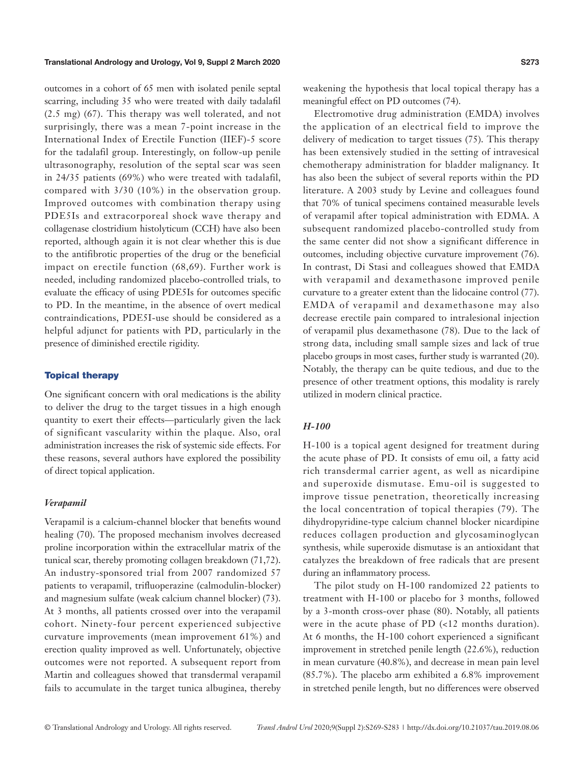outcomes in a cohort of 65 men with isolated penile septal scarring, including 35 who were treated with daily tadalafil (2.5 mg) (67). This therapy was well tolerated, and not surprisingly, there was a mean 7-point increase in the International Index of Erectile Function (IIEF)-5 score for the tadalafil group. Interestingly, on follow-up penile ultrasonography, resolution of the septal scar was seen in 24/35 patients (69%) who were treated with tadalafil, compared with 3/30 (10%) in the observation group. Improved outcomes with combination therapy using PDE5Is and extracorporeal shock wave therapy and collagenase clostridium histolyticum (CCH) have also been reported, although again it is not clear whether this is due to the antifibrotic properties of the drug or the beneficial impact on erectile function (68,69). Further work is needed, including randomized placebo-controlled trials, to evaluate the efficacy of using PDE5Is for outcomes specific to PD. In the meantime, in the absence of overt medical contraindications, PDE5I-use should be considered as a helpful adjunct for patients with PD, particularly in the presence of diminished erectile rigidity.

#### Topical therapy

One significant concern with oral medications is the ability to deliver the drug to the target tissues in a high enough quantity to exert their effects—particularly given the lack of significant vascularity within the plaque. Also, oral administration increases the risk of systemic side effects. For these reasons, several authors have explored the possibility of direct topical application.

#### *Verapamil*

Verapamil is a calcium-channel blocker that benefits wound healing (70). The proposed mechanism involves decreased proline incorporation within the extracellular matrix of the tunical scar, thereby promoting collagen breakdown (71,72). An industry-sponsored trial from 2007 randomized 57 patients to verapamil, trifluoperazine (calmodulin-blocker) and magnesium sulfate (weak calcium channel blocker) (73). At 3 months, all patients crossed over into the verapamil cohort. Ninety-four percent experienced subjective curvature improvements (mean improvement 61%) and erection quality improved as well. Unfortunately, objective outcomes were not reported. A subsequent report from Martin and colleagues showed that transdermal verapamil fails to accumulate in the target tunica albuginea, thereby weakening the hypothesis that local topical therapy has a meaningful effect on PD outcomes (74).

Electromotive drug administration (EMDA) involves the application of an electrical field to improve the delivery of medication to target tissues (75). This therapy has been extensively studied in the setting of intravesical chemotherapy administration for bladder malignancy. It has also been the subject of several reports within the PD literature. A 2003 study by Levine and colleagues found that 70% of tunical specimens contained measurable levels of verapamil after topical administration with EDMA. A subsequent randomized placebo-controlled study from the same center did not show a significant difference in outcomes, including objective curvature improvement (76). In contrast, Di Stasi and colleagues showed that EMDA with verapamil and dexamethasone improved penile curvature to a greater extent than the lidocaine control (77). EMDA of verapamil and dexamethasone may also decrease erectile pain compared to intralesional injection of verapamil plus dexamethasone (78). Due to the lack of strong data, including small sample sizes and lack of true placebo groups in most cases, further study is warranted (20). Notably, the therapy can be quite tedious, and due to the presence of other treatment options, this modality is rarely utilized in modern clinical practice.

# *H-100*

H-100 is a topical agent designed for treatment during the acute phase of PD. It consists of emu oil, a fatty acid rich transdermal carrier agent, as well as nicardipine and superoxide dismutase. Emu-oil is suggested to improve tissue penetration, theoretically increasing the local concentration of topical therapies (79). The dihydropyridine-type calcium channel blocker nicardipine reduces collagen production and glycosaminoglycan synthesis, while superoxide dismutase is an antioxidant that catalyzes the breakdown of free radicals that are present during an inflammatory process.

The pilot study on H-100 randomized 22 patients to treatment with H-100 or placebo for 3 months, followed by a 3-month cross-over phase (80). Notably, all patients were in the acute phase of PD (<12 months duration). At 6 months, the H-100 cohort experienced a significant improvement in stretched penile length (22.6%), reduction in mean curvature (40.8%), and decrease in mean pain level (85.7%). The placebo arm exhibited a 6.8% improvement in stretched penile length, but no differences were observed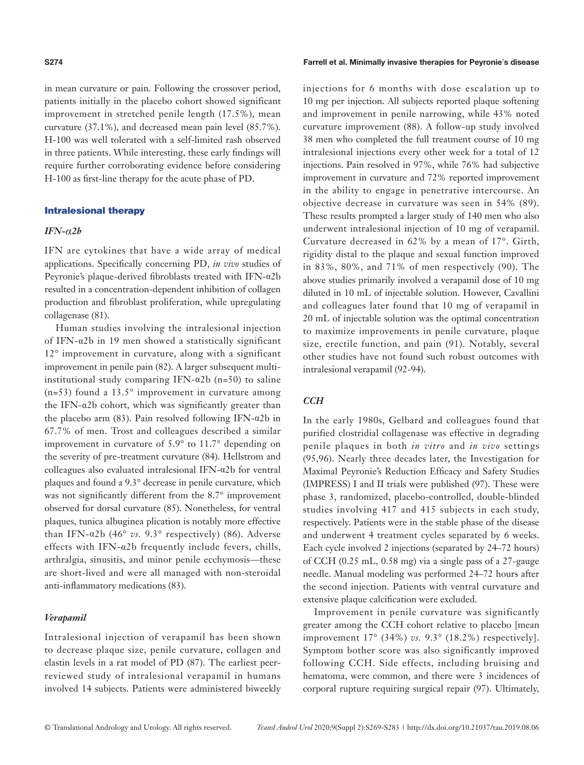in mean curvature or pain. Following the crossover period, patients initially in the placebo cohort showed significant improvement in stretched penile length (17.5%), mean curvature (37.1%), and decreased mean pain level (85.7%). H-100 was well tolerated with a self-limited rash observed in three patients. While interesting, these early findings will require further corroborating evidence before considering H-100 as first-line therapy for the acute phase of PD.

# Intralesional therapy

#### *IFN-α2b*

IFN are cytokines that have a wide array of medical applications. Specifically concerning PD, *in vivo* studies of Peyronie's plaque-derived fibroblasts treated with IFN-α2b resulted in a concentration-dependent inhibition of collagen production and fibroblast proliferation, while upregulating collagenase (81).

Human studies involving the intralesional injection of IFN-α2b in 19 men showed a statistically significant 12° improvement in curvature, along with a significant improvement in penile pain (82). A larger subsequent multiinstitutional study comparing IFN- $\alpha$ 2b (n=50) to saline  $(n=53)$  found a 13.5 $\degree$  improvement in curvature among the IFN- $\alpha$ 2b cohort, which was significantly greater than the placebo arm (83). Pain resolved following IFN-α2b in 67.7% of men. Trost and colleagues described a similar improvement in curvature of 5.9° to 11.7° depending on the severity of pre-treatment curvature (84). Hellstrom and colleagues also evaluated intralesional IFN-α2b for ventral plaques and found a 9.3° decrease in penile curvature, which was not significantly different from the 8.7° improvement observed for dorsal curvature (85). Nonetheless, for ventral plaques, tunica albuginea plication is notably more effective than IFN- $\alpha$ 2b (46° *vs.* 9.3° respectively) (86). Adverse effects with IFN-α2b frequently include fevers, chills, arthralgia, sinusitis, and minor penile ecchymosis—these are short-lived and were all managed with non-steroidal anti-inflammatory medications (83).

### *Verapamil*

Intralesional injection of verapamil has been shown to decrease plaque size, penile curvature, collagen and elastin levels in a rat model of PD (87). The earliest peerreviewed study of intralesional verapamil in humans involved 14 subjects. Patients were administered biweekly

#### **S274** Farrell et al. Minimally invasive therapies for Peyronie's disease

injections for 6 months with dose escalation up to 10 mg per injection. All subjects reported plaque softening and improvement in penile narrowing, while 43% noted curvature improvement (88). A follow-up study involved 38 men who completed the full treatment course of 10 mg intralesional injections every other week for a total of 12 injections. Pain resolved in 97%, while 76% had subjective improvement in curvature and 72% reported improvement in the ability to engage in penetrative intercourse. An objective decrease in curvature was seen in 54% (89). These results prompted a larger study of 140 men who also underwent intralesional injection of 10 mg of verapamil. Curvature decreased in 62% by a mean of 17°. Girth, rigidity distal to the plaque and sexual function improved in 83%, 80%, and 71% of men respectively (90). The above studies primarily involved a verapamil dose of 10 mg diluted in 10 mL of injectable solution. However, Cavallini and colleagues later found that 10 mg of verapamil in 20 mL of injectable solution was the optimal concentration to maximize improvements in penile curvature, plaque size, erectile function, and pain (91). Notably, several other studies have not found such robust outcomes with intralesional verapamil (92-94).

# *CCH*

In the early 1980s, Gelbard and colleagues found that purified clostridial collagenase was effective in degrading penile plaques in both *in vitro* and *in vivo* settings (95,96). Nearly three decades later, the Investigation for Maximal Peyronie's Reduction Efficacy and Safety Studies (IMPRESS) I and II trials were published (97). These were phase 3, randomized, placebo-controlled, double-blinded studies involving 417 and 415 subjects in each study, respectively. Patients were in the stable phase of the disease and underwent 4 treatment cycles separated by 6 weeks. Each cycle involved 2 injections (separated by 24–72 hours) of CCH (0.25 mL, 0.58 mg) via a single pass of a 27-gauge needle. Manual modeling was performed 24–72 hours after the second injection. Patients with ventral curvature and extensive plaque calcification were excluded.

Improvement in penile curvature was significantly greater among the CCH cohort relative to placebo [mean improvement 17° (34%) *vs.* 9.3° (18.2%) respectively]. Symptom bother score was also significantly improved following CCH. Side effects, including bruising and hematoma, were common, and there were 3 incidences of corporal rupture requiring surgical repair (97). Ultimately,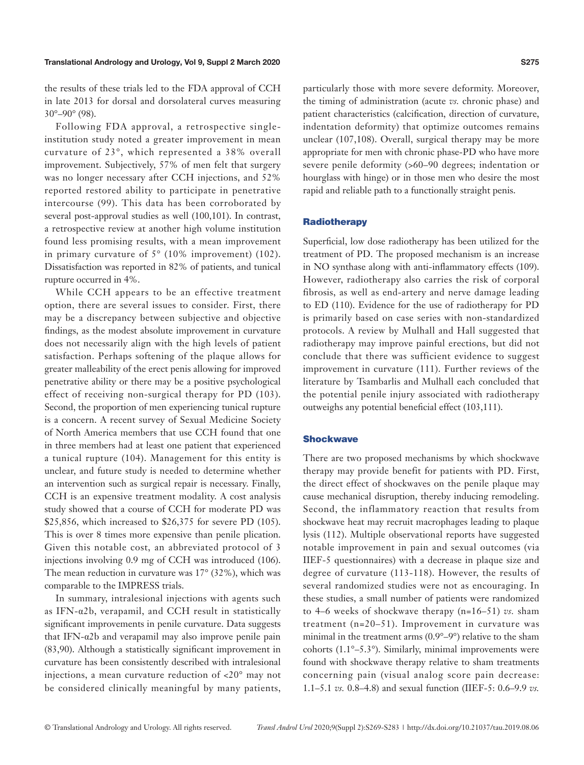the results of these trials led to the FDA approval of CCH in late 2013 for dorsal and dorsolateral curves measuring

30°–90° (98). Following FDA approval, a retrospective singleinstitution study noted a greater improvement in mean curvature of 23°, which represented a 38% overall improvement. Subjectively, 57% of men felt that surgery was no longer necessary after CCH injections, and 52% reported restored ability to participate in penetrative intercourse (99). This data has been corroborated by several post-approval studies as well (100,101). In contrast, a retrospective review at another high volume institution found less promising results, with a mean improvement in primary curvature of 5° (10% improvement) (102). Dissatisfaction was reported in 82% of patients, and tunical rupture occurred in 4%.

While CCH appears to be an effective treatment option, there are several issues to consider. First, there may be a discrepancy between subjective and objective findings, as the modest absolute improvement in curvature does not necessarily align with the high levels of patient satisfaction. Perhaps softening of the plaque allows for greater malleability of the erect penis allowing for improved penetrative ability or there may be a positive psychological effect of receiving non-surgical therapy for PD (103). Second, the proportion of men experiencing tunical rupture is a concern. A recent survey of Sexual Medicine Society of North America members that use CCH found that one in three members had at least one patient that experienced a tunical rupture (104). Management for this entity is unclear, and future study is needed to determine whether an intervention such as surgical repair is necessary. Finally, CCH is an expensive treatment modality. A cost analysis study showed that a course of CCH for moderate PD was \$25,856, which increased to \$26,375 for severe PD (105). This is over 8 times more expensive than penile plication. Given this notable cost, an abbreviated protocol of 3 injections involving 0.9 mg of CCH was introduced (106). The mean reduction in curvature was 17° (32%), which was comparable to the IMPRESS trials.

In summary, intralesional injections with agents such as IFN-α2b, verapamil, and CCH result in statistically significant improvements in penile curvature. Data suggests that IFN-α2b and verapamil may also improve penile pain (83,90). Although a statistically significant improvement in curvature has been consistently described with intralesional injections, a mean curvature reduction of <20° may not be considered clinically meaningful by many patients,

particularly those with more severe deformity. Moreover, the timing of administration (acute *vs.* chronic phase) and patient characteristics (calcification, direction of curvature, indentation deformity) that optimize outcomes remains unclear (107,108). Overall, surgical therapy may be more appropriate for men with chronic phase-PD who have more severe penile deformity (>60–90 degrees; indentation or hourglass with hinge) or in those men who desire the most rapid and reliable path to a functionally straight penis.

#### **Radiotherapy**

Superficial, low dose radiotherapy has been utilized for the treatment of PD. The proposed mechanism is an increase in NO synthase along with anti-inflammatory effects (109). However, radiotherapy also carries the risk of corporal fibrosis, as well as end-artery and nerve damage leading to ED (110). Evidence for the use of radiotherapy for PD is primarily based on case series with non-standardized protocols. A review by Mulhall and Hall suggested that radiotherapy may improve painful erections, but did not conclude that there was sufficient evidence to suggest improvement in curvature (111). Further reviews of the literature by Tsambarlis and Mulhall each concluded that the potential penile injury associated with radiotherapy outweighs any potential beneficial effect (103,111).

#### **Shockwave**

There are two proposed mechanisms by which shockwave therapy may provide benefit for patients with PD. First, the direct effect of shockwaves on the penile plaque may cause mechanical disruption, thereby inducing remodeling. Second, the inflammatory reaction that results from shockwave heat may recruit macrophages leading to plaque lysis (112). Multiple observational reports have suggested notable improvement in pain and sexual outcomes (via IIEF-5 questionnaires) with a decrease in plaque size and degree of curvature (113-118). However, the results of several randomized studies were not as encouraging. In these studies, a small number of patients were randomized to 4–6 weeks of shockwave therapy (n=16–51) *vs.* sham treatment (n=20–51). Improvement in curvature was minimal in the treatment arms (0.9°–9°) relative to the sham cohorts (1.1°–5.3°). Similarly, minimal improvements were found with shockwave therapy relative to sham treatments concerning pain (visual analog score pain decrease: 1.1–5.1 *vs.* 0.8–4.8) and sexual function (IIEF-5: 0.6–9.9 *vs.*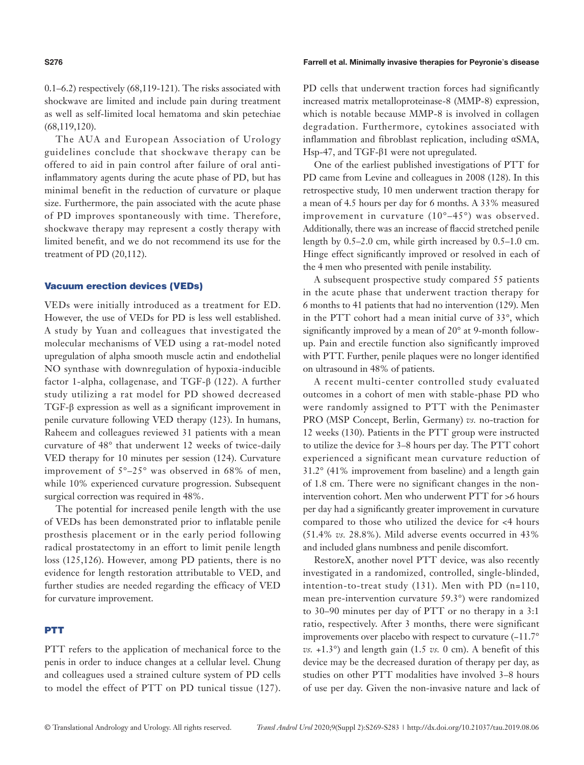# 0.1–6.2) respectively (68,119-121). The risks associated with shockwave are limited and include pain during treatment as well as self-limited local hematoma and skin petechiae (68,119,120).

The AUA and European Association of Urology guidelines conclude that shockwave therapy can be offered to aid in pain control after failure of oral antiinflammatory agents during the acute phase of PD, but has minimal benefit in the reduction of curvature or plaque size. Furthermore, the pain associated with the acute phase of PD improves spontaneously with time. Therefore, shockwave therapy may represent a costly therapy with limited benefit, and we do not recommend its use for the treatment of PD (20,112).

#### Vacuum erection devices (VEDs)

VEDs were initially introduced as a treatment for ED. However, the use of VEDs for PD is less well established. A study by Yuan and colleagues that investigated the molecular mechanisms of VED using a rat-model noted upregulation of alpha smooth muscle actin and endothelial NO synthase with downregulation of hypoxia-inducible factor 1-alpha, collagenase, and TGF-β (122). A further study utilizing a rat model for PD showed decreased TGF-β expression as well as a significant improvement in penile curvature following VED therapy (123). In humans, Raheem and colleagues reviewed 31 patients with a mean curvature of 48° that underwent 12 weeks of twice-daily VED therapy for 10 minutes per session (124). Curvature improvement of  $5^{\circ}-25^{\circ}$  was observed in 68% of men, while 10% experienced curvature progression. Subsequent surgical correction was required in 48%.

The potential for increased penile length with the use of VEDs has been demonstrated prior to inflatable penile prosthesis placement or in the early period following radical prostatectomy in an effort to limit penile length loss (125,126). However, among PD patients, there is no evidence for length restoration attributable to VED, and further studies are needed regarding the efficacy of VED for curvature improvement.

#### PTT

PTT refers to the application of mechanical force to the penis in order to induce changes at a cellular level. Chung and colleagues used a strained culture system of PD cells to model the effect of PTT on PD tunical tissue (127).

#### **S276** Farrell et al. Minimally invasive therapies for Peyronie's disease

PD cells that underwent traction forces had significantly increased matrix metalloproteinase-8 (MMP-8) expression, which is notable because MMP-8 is involved in collagen degradation. Furthermore, cytokines associated with inflammation and fibroblast replication, including αSMA, Hsp-47, and TGF-β1 were not upregulated.

One of the earliest published investigations of PTT for PD came from Levine and colleagues in 2008 (128). In this retrospective study, 10 men underwent traction therapy for a mean of 4.5 hours per day for 6 months. A 33% measured improvement in curvature (10°–45°) was observed. Additionally, there was an increase of flaccid stretched penile length by 0.5–2.0 cm, while girth increased by 0.5–1.0 cm. Hinge effect significantly improved or resolved in each of the 4 men who presented with penile instability.

A subsequent prospective study compared 55 patients in the acute phase that underwent traction therapy for 6 months to 41 patients that had no intervention (129). Men in the PTT cohort had a mean initial curve of 33°, which significantly improved by a mean of 20° at 9-month followup. Pain and erectile function also significantly improved with PTT. Further, penile plaques were no longer identified on ultrasound in 48% of patients.

A recent multi-center controlled study evaluated outcomes in a cohort of men with stable-phase PD who were randomly assigned to PTT with the Penimaster PRO (MSP Concept, Berlin, Germany) *vs.* no-traction for 12 weeks (130). Patients in the PTT group were instructed to utilize the device for 3–8 hours per day. The PTT cohort experienced a significant mean curvature reduction of 31.2° (41% improvement from baseline) and a length gain of 1.8 cm. There were no significant changes in the nonintervention cohort. Men who underwent PTT for >6 hours per day had a significantly greater improvement in curvature compared to those who utilized the device for <4 hours (51.4% *vs.* 28.8%). Mild adverse events occurred in 43% and included glans numbness and penile discomfort.

RestoreX, another novel PTT device, was also recently investigated in a randomized, controlled, single-blinded, intention-to-treat study (131). Men with PD (n=110, mean pre-intervention curvature 59.3°) were randomized to 30–90 minutes per day of PTT or no therapy in a 3:1 ratio, respectively. After 3 months, there were significant improvements over placebo with respect to curvature (−11.7°  $vs. +1.3°$ ) and length gain (1.5 *vs.* 0 cm). A benefit of this device may be the decreased duration of therapy per day, as studies on other PTT modalities have involved 3–8 hours of use per day. Given the non-invasive nature and lack of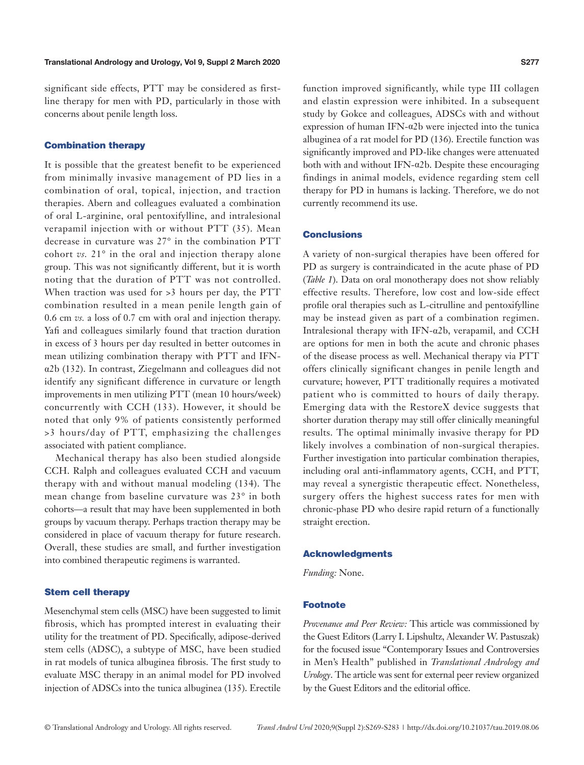significant side effects, PTT may be considered as firstline therapy for men with PD, particularly in those with concerns about penile length loss.

#### Combination therapy

It is possible that the greatest benefit to be experienced from minimally invasive management of PD lies in a combination of oral, topical, injection, and traction therapies. Abern and colleagues evaluated a combination of oral L-arginine, oral pentoxifylline, and intralesional verapamil injection with or without PTT (35). Mean decrease in curvature was 27° in the combination PTT cohort *vs.* 21° in the oral and injection therapy alone group. This was not significantly different, but it is worth noting that the duration of PTT was not controlled. When traction was used for  $>3$  hours per day, the PTT combination resulted in a mean penile length gain of 0.6 cm *vs.* a loss of 0.7 cm with oral and injection therapy. Yafi and colleagues similarly found that traction duration in excess of 3 hours per day resulted in better outcomes in mean utilizing combination therapy with PTT and IFNα2b (132). In contrast, Ziegelmann and colleagues did not identify any significant difference in curvature or length improvements in men utilizing PTT (mean 10 hours/week) concurrently with CCH (133). However, it should be noted that only 9% of patients consistently performed >3 hours/day of PTT, emphasizing the challenges associated with patient compliance.

Mechanical therapy has also been studied alongside CCH. Ralph and colleagues evaluated CCH and vacuum therapy with and without manual modeling (134). The mean change from baseline curvature was 23° in both cohorts—a result that may have been supplemented in both groups by vacuum therapy. Perhaps traction therapy may be considered in place of vacuum therapy for future research. Overall, these studies are small, and further investigation into combined therapeutic regimens is warranted.

### Stem cell therapy

Mesenchymal stem cells (MSC) have been suggested to limit fibrosis, which has prompted interest in evaluating their utility for the treatment of PD. Specifically, adipose-derived stem cells (ADSC), a subtype of MSC, have been studied in rat models of tunica albuginea fibrosis. The first study to evaluate MSC therapy in an animal model for PD involved injection of ADSCs into the tunica albuginea (135). Erectile function improved significantly, while type III collagen and elastin expression were inhibited. In a subsequent study by Gokce and colleagues, ADSCs with and without expression of human IFN-α2b were injected into the tunica albuginea of a rat model for PD (136). Erectile function was significantly improved and PD-like changes were attenuated both with and without IFN- $\alpha$ 2b. Despite these encouraging findings in animal models, evidence regarding stem cell therapy for PD in humans is lacking. Therefore, we do not currently recommend its use.

# **Conclusions**

A variety of non-surgical therapies have been offered for PD as surgery is contraindicated in the acute phase of PD (*Table 1*). Data on oral monotherapy does not show reliably effective results. Therefore, low cost and low-side effect profile oral therapies such as L-citrulline and pentoxifylline may be instead given as part of a combination regimen. Intralesional therapy with IFN-α2b, verapamil, and CCH are options for men in both the acute and chronic phases of the disease process as well. Mechanical therapy via PTT offers clinically significant changes in penile length and curvature; however, PTT traditionally requires a motivated patient who is committed to hours of daily therapy. Emerging data with the RestoreX device suggests that shorter duration therapy may still offer clinically meaningful results. The optimal minimally invasive therapy for PD likely involves a combination of non-surgical therapies. Further investigation into particular combination therapies, including oral anti-inflammatory agents, CCH, and PTT, may reveal a synergistic therapeutic effect. Nonetheless, surgery offers the highest success rates for men with chronic-phase PD who desire rapid return of a functionally straight erection.

#### Acknowledgments

*Funding:* None.

#### **Footnote**

*Provenance and Peer Review:* This article was commissioned by the Guest Editors (Larry I. Lipshultz, Alexander W. Pastuszak) for the focused issue "Contemporary Issues and Controversies in Men's Health" published in *Translational Andrology and Urology*. The article was sent for external peer review organized by the Guest Editors and the editorial office.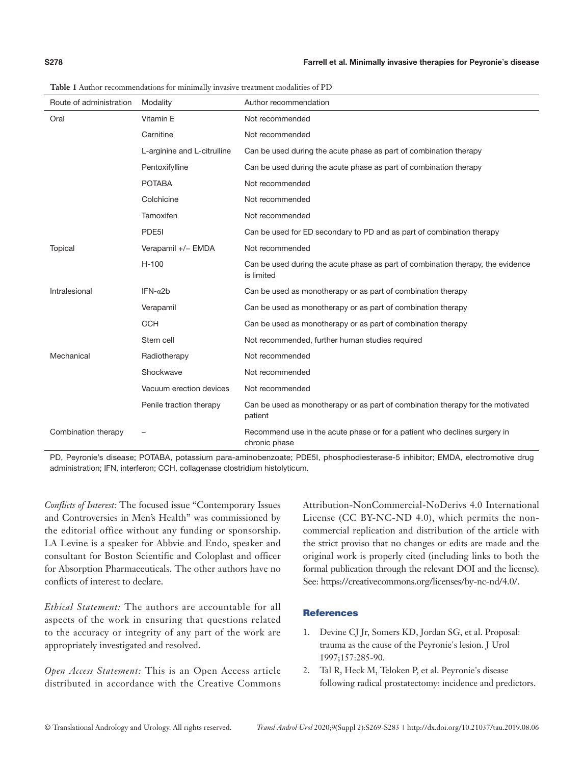| Route of administration | Modality                    | Author recommendation                                                                         |
|-------------------------|-----------------------------|-----------------------------------------------------------------------------------------------|
| Oral                    | Vitamin E                   | Not recommended                                                                               |
|                         | Carnitine                   | Not recommended                                                                               |
|                         | L-arginine and L-citrulline | Can be used during the acute phase as part of combination therapy                             |
|                         | Pentoxifylline              | Can be used during the acute phase as part of combination therapy                             |
|                         | <b>POTABA</b>               | Not recommended                                                                               |
|                         | Colchicine                  | Not recommended                                                                               |
|                         | Tamoxifen                   | Not recommended                                                                               |
|                         | PDE5I                       | Can be used for ED secondary to PD and as part of combination therapy                         |
| Topical                 | Verapamil +/- EMDA          | Not recommended                                                                               |
|                         | $H-100$                     | Can be used during the acute phase as part of combination therapy, the evidence<br>is limited |
| Intralesional           | IFN- $\alpha$ 2b            | Can be used as monotherapy or as part of combination therapy                                  |
|                         | Verapamil                   | Can be used as monotherapy or as part of combination therapy                                  |
|                         | <b>CCH</b>                  | Can be used as monotherapy or as part of combination therapy                                  |
|                         | Stem cell                   | Not recommended, further human studies required                                               |
| Mechanical              | Radiotherapy                | Not recommended                                                                               |
|                         | Shockwave                   | Not recommended                                                                               |
|                         | Vacuum erection devices     | Not recommended                                                                               |
|                         | Penile traction therapy     | Can be used as monotherapy or as part of combination therapy for the motivated<br>patient     |
| Combination therapy     |                             | Recommend use in the acute phase or for a patient who declines surgery in<br>chronic phase    |

**Table 1** Author recommendations for minimally invasive treatment modalities of PD

PD, Peyronie's disease; POTABA, potassium para-aminobenzoate; PDE5I, phosphodiesterase-5 inhibitor; EMDA, electromotive drug administration; IFN, interferon; CCH, collagenase clostridium histolyticum.

*Conflicts of Interest:* The focused issue "Contemporary Issues and Controversies in Men's Health" was commissioned by the editorial office without any funding or sponsorship. LA Levine is a speaker for Abbvie and Endo, speaker and consultant for Boston Scientific and Coloplast and officer for Absorption Pharmaceuticals. The other authors have no conflicts of interest to declare.

*Ethical Statement:* The authors are accountable for all aspects of the work in ensuring that questions related to the accuracy or integrity of any part of the work are appropriately investigated and resolved.

*Open Access Statement:* This is an Open Access article distributed in accordance with the Creative Commons

Attribution-NonCommercial-NoDerivs 4.0 International License (CC BY-NC-ND 4.0), which permits the noncommercial replication and distribution of the article with the strict proviso that no changes or edits are made and the original work is properly cited (including links to both the formal publication through the relevant DOI and the license). See: https://creativecommons.org/licenses/by-nc-nd/4.0/.

# **References**

- 1. Devine CJ Jr, Somers KD, Jordan SG, et al. Proposal: trauma as the cause of the Peyronie's lesion. J Urol 1997;157:285-90.
- 2. Tal R, Heck M, Teloken P, et al. Peyronie's disease following radical prostatectomy: incidence and predictors.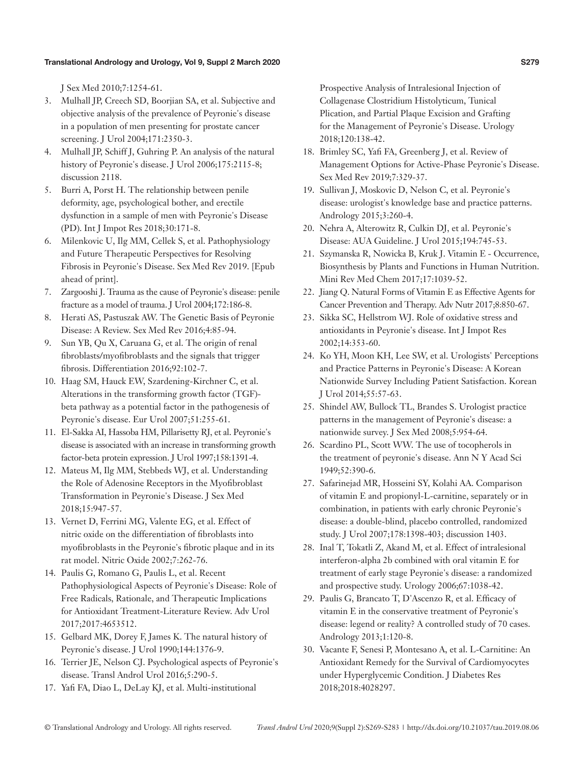J Sex Med 2010;7:1254-61.

- 3. Mulhall JP, Creech SD, Boorjian SA, et al. Subjective and objective analysis of the prevalence of Peyronie's disease in a population of men presenting for prostate cancer screening. J Urol 2004;171:2350-3.
- 4. Mulhall JP, Schiff J, Guhring P. An analysis of the natural history of Peyronie's disease. J Urol 2006;175:2115-8; discussion 2118.
- 5. Burri A, Porst H. The relationship between penile deformity, age, psychological bother, and erectile dysfunction in a sample of men with Peyronie's Disease (PD). Int J Impot Res 2018;30:171-8.
- 6. Milenkovic U, Ilg MM, Cellek S, et al. Pathophysiology and Future Therapeutic Perspectives for Resolving Fibrosis in Peyronie's Disease. Sex Med Rev 2019. [Epub ahead of print].
- 7. Zargooshi J. Trauma as the cause of Peyronie's disease: penile fracture as a model of trauma. J Urol 2004;172:186-8.
- 8. Herati AS, Pastuszak AW. The Genetic Basis of Peyronie Disease: A Review. Sex Med Rev 2016;4:85-94.
- 9. Sun YB, Qu X, Caruana G, et al. The origin of renal fibroblasts/myofibroblasts and the signals that trigger fibrosis. Differentiation 2016;92:102-7.
- 10. Haag SM, Hauck EW, Szardening-Kirchner C, et al. Alterations in the transforming growth factor (TGF) beta pathway as a potential factor in the pathogenesis of Peyronie's disease. Eur Urol 2007;51:255-61.
- 11. El-Sakka AI, Hassoba HM, Pillarisetty RJ, et al. Peyronie's disease is associated with an increase in transforming growth factor-beta protein expression. J Urol 1997;158:1391-4.
- 12. Mateus M, Ilg MM, Stebbeds WJ, et al. Understanding the Role of Adenosine Receptors in the Myofibroblast Transformation in Peyronie's Disease. J Sex Med 2018;15:947-57.
- 13. Vernet D, Ferrini MG, Valente EG, et al. Effect of nitric oxide on the differentiation of fibroblasts into myofibroblasts in the Peyronie's fibrotic plaque and in its rat model. Nitric Oxide 2002;7:262-76.
- 14. Paulis G, Romano G, Paulis L, et al. Recent Pathophysiological Aspects of Peyronie's Disease: Role of Free Radicals, Rationale, and Therapeutic Implications for Antioxidant Treatment-Literature Review. Adv Urol 2017;2017:4653512.
- 15. Gelbard MK, Dorey F, James K. The natural history of Peyronie's disease. J Urol 1990;144:1376-9.
- 16. Terrier JE, Nelson CJ. Psychological aspects of Peyronie's disease. Transl Androl Urol 2016;5:290-5.
- 17. Yafi FA, Diao L, DeLay KJ, et al. Multi-institutional

Prospective Analysis of Intralesional Injection of Collagenase Clostridium Histolyticum, Tunical Plication, and Partial Plaque Excision and Grafting for the Management of Peyronie's Disease. Urology 2018;120:138-42.

- 18. Brimley SC, Yafi FA, Greenberg J, et al. Review of Management Options for Active-Phase Peyronie's Disease. Sex Med Rev 2019;7:329-37.
- 19. Sullivan J, Moskovic D, Nelson C, et al. Peyronie's disease: urologist's knowledge base and practice patterns. Andrology 2015;3:260-4.
- 20. Nehra A, Alterowitz R, Culkin DJ, et al. Peyronie's Disease: AUA Guideline. J Urol 2015;194:745-53.
- 21. Szymanska R, Nowicka B, Kruk J. Vitamin E Occurrence, Biosynthesis by Plants and Functions in Human Nutrition. Mini Rev Med Chem 2017;17:1039-52.
- 22. Jiang Q. Natural Forms of Vitamin E as Effective Agents for Cancer Prevention and Therapy. Adv Nutr 2017;8:850-67.
- 23. Sikka SC, Hellstrom WJ. Role of oxidative stress and antioxidants in Peyronie's disease. Int J Impot Res 2002;14:353-60.
- 24. Ko YH, Moon KH, Lee SW, et al. Urologists' Perceptions and Practice Patterns in Peyronie's Disease: A Korean Nationwide Survey Including Patient Satisfaction. Korean J Urol 2014;55:57-63.
- 25. Shindel AW, Bullock TL, Brandes S. Urologist practice patterns in the management of Peyronie's disease: a nationwide survey. J Sex Med 2008;5:954-64.
- 26. Scardino PL, Scott WW. The use of tocopherols in the treatment of peyronie's disease. Ann N Y Acad Sci 1949;52:390-6.
- 27. Safarinejad MR, Hosseini SY, Kolahi AA. Comparison of vitamin E and propionyl-L-carnitine, separately or in combination, in patients with early chronic Peyronie's disease: a double-blind, placebo controlled, randomized study. J Urol 2007;178:1398-403; discussion 1403.
- 28. Inal T, Tokatli Z, Akand M, et al. Effect of intralesional interferon-alpha 2b combined with oral vitamin E for treatment of early stage Peyronie's disease: a randomized and prospective study. Urology 2006;67:1038-42.
- 29. Paulis G, Brancato T, D'Ascenzo R, et al. Efficacy of vitamin E in the conservative treatment of Peyronie's disease: legend or reality? A controlled study of 70 cases. Andrology 2013;1:120-8.
- 30. Vacante F, Senesi P, Montesano A, et al. L-Carnitine: An Antioxidant Remedy for the Survival of Cardiomyocytes under Hyperglycemic Condition. J Diabetes Res 2018;2018:4028297.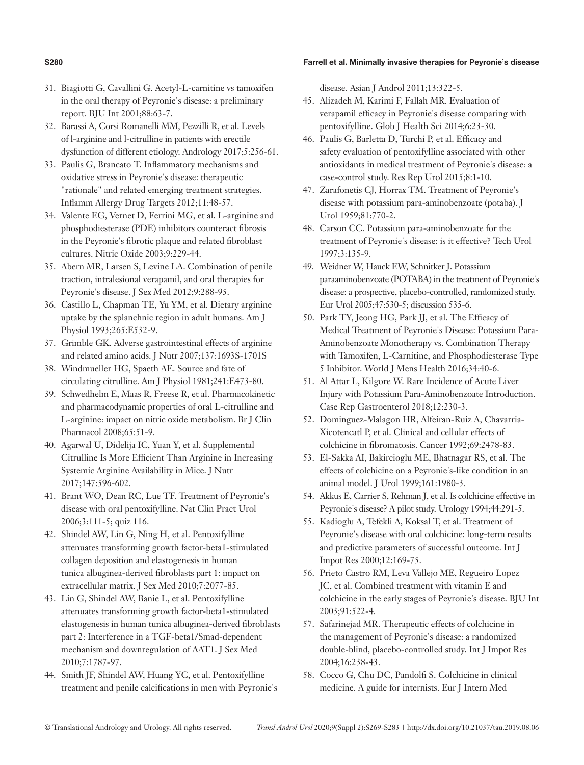#### **S280** Farrell et al. Minimally invasive therapies for Peyronie's disease

- 31. Biagiotti G, Cavallini G. Acetyl-L-carnitine vs tamoxifen in the oral therapy of Peyronie's disease: a preliminary report. BJU Int 2001;88:63-7.
- 32. Barassi A, Corsi Romanelli MM, Pezzilli R, et al. Levels of l-arginine and l-citrulline in patients with erectile dysfunction of different etiology. Andrology 2017;5:256-61.
- 33. Paulis G, Brancato T. Inflammatory mechanisms and oxidative stress in Peyronie's disease: therapeutic "rationale" and related emerging treatment strategies. Inflamm Allergy Drug Targets 2012;11:48-57.
- 34. Valente EG, Vernet D, Ferrini MG, et al. L-arginine and phosphodiesterase (PDE) inhibitors counteract fibrosis in the Peyronie's fibrotic plaque and related fibroblast cultures. Nitric Oxide 2003;9:229-44.
- 35. Abern MR, Larsen S, Levine LA. Combination of penile traction, intralesional verapamil, and oral therapies for Peyronie's disease. J Sex Med 2012;9:288-95.
- 36. Castillo L, Chapman TE, Yu YM, et al. Dietary arginine uptake by the splanchnic region in adult humans. Am J Physiol 1993;265:E532-9.
- 37. Grimble GK. Adverse gastrointestinal effects of arginine and related amino acids. J Nutr 2007;137:1693S-1701S
- 38. Windmueller HG, Spaeth AE. Source and fate of circulating citrulline. Am J Physiol 1981;241:E473-80.
- 39. Schwedhelm E, Maas R, Freese R, et al. Pharmacokinetic and pharmacodynamic properties of oral L-citrulline and L-arginine: impact on nitric oxide metabolism. Br J Clin Pharmacol 2008;65:51-9.
- 40. Agarwal U, Didelija IC, Yuan Y, et al. Supplemental Citrulline Is More Efficient Than Arginine in Increasing Systemic Arginine Availability in Mice. J Nutr 2017;147:596-602.
- 41. Brant WO, Dean RC, Lue TF. Treatment of Peyronie's disease with oral pentoxifylline. Nat Clin Pract Urol 2006;3:111-5; quiz 116.
- 42. Shindel AW, Lin G, Ning H, et al. Pentoxifylline attenuates transforming growth factor-beta1-stimulated collagen deposition and elastogenesis in human tunica albuginea-derived fibroblasts part 1: impact on extracellular matrix. J Sex Med 2010;7:2077-85.
- 43. Lin G, Shindel AW, Banie L, et al. Pentoxifylline attenuates transforming growth factor-beta1-stimulated elastogenesis in human tunica albuginea-derived fibroblasts part 2: Interference in a TGF-beta1/Smad-dependent mechanism and downregulation of AAT1. J Sex Med 2010;7:1787-97.
- 44. Smith JF, Shindel AW, Huang YC, et al. Pentoxifylline treatment and penile calcifications in men with Peyronie's

disease. Asian J Androl 2011;13:322-5.

- 45. Alizadeh M, Karimi F, Fallah MR. Evaluation of verapamil efficacy in Peyronie's disease comparing with pentoxifylline. Glob J Health Sci 2014;6:23-30.
- 46. Paulis G, Barletta D, Turchi P, et al. Efficacy and safety evaluation of pentoxifylline associated with other antioxidants in medical treatment of Peyronie's disease: a case-control study. Res Rep Urol 2015;8:1-10.
- 47. Zarafonetis CJ, Horrax TM. Treatment of Peyronie's disease with potassium para-aminobenzoate (potaba). J Urol 1959;81:770-2.
- 48. Carson CC. Potassium para-aminobenzoate for the treatment of Peyronie's disease: is it effective? Tech Urol 1997;3:135-9.
- 49. Weidner W, Hauck EW, Schnitker J. Potassium paraaminobenzoate (POTABA) in the treatment of Peyronie's disease: a prospective, placebo-controlled, randomized study. Eur Urol 2005;47:530-5; discussion 535-6.
- 50. Park TY, Jeong HG, Park JJ, et al. The Efficacy of Medical Treatment of Peyronie's Disease: Potassium Para-Aminobenzoate Monotherapy vs. Combination Therapy with Tamoxifen, L-Carnitine, and Phosphodiesterase Type 5 Inhibitor. World J Mens Health 2016;34:40-6.
- 51. Al Attar L, Kilgore W. Rare Incidence of Acute Liver Injury with Potassium Para-Aminobenzoate Introduction. Case Rep Gastroenterol 2018;12:230-3.
- 52. Dominguez-Malagon HR, Alfeiran-Ruiz A, Chavarria-Xicotencatl P, et al. Clinical and cellular effects of colchicine in fibromatosis. Cancer 1992;69:2478-83.
- 53. El-Sakka AI, Bakircioglu ME, Bhatnagar RS, et al. The effects of colchicine on a Peyronie's-like condition in an animal model. J Urol 1999;161:1980-3.
- 54. Akkus E, Carrier S, Rehman J, et al. Is colchicine effective in Peyronie's disease? A pilot study. Urology 1994;44:291-5.
- 55. Kadioglu A, Tefekli A, Koksal T, et al. Treatment of Peyronie's disease with oral colchicine: long-term results and predictive parameters of successful outcome. Int J Impot Res 2000;12:169-75.
- 56. Prieto Castro RM, Leva Vallejo ME, Regueiro Lopez JC, et al. Combined treatment with vitamin E and colchicine in the early stages of Peyronie's disease. BJU Int 2003;91:522-4.
- 57. Safarinejad MR. Therapeutic effects of colchicine in the management of Peyronie's disease: a randomized double-blind, placebo-controlled study. Int J Impot Res 2004;16:238-43.
- 58. Cocco G, Chu DC, Pandolfi S. Colchicine in clinical medicine. A guide for internists. Eur J Intern Med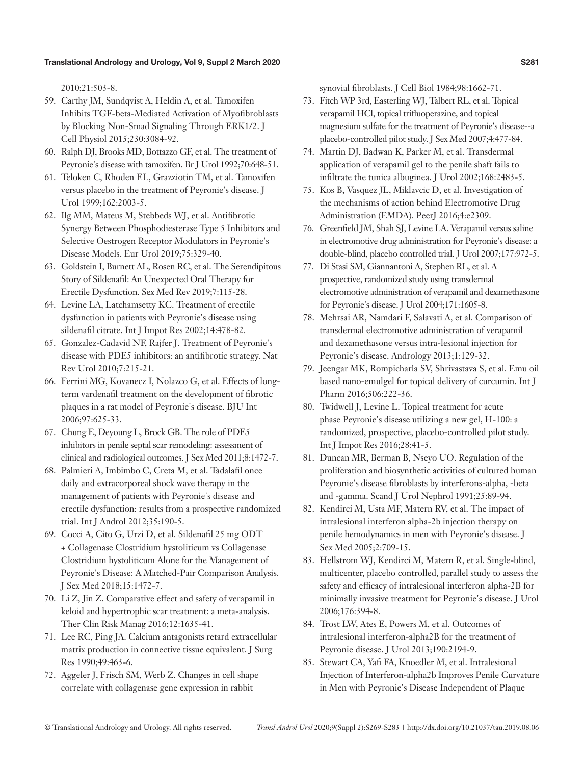2010;21:503-8.

- 59. Carthy JM, Sundqvist A, Heldin A, et al. Tamoxifen Inhibits TGF-beta-Mediated Activation of Myofibroblasts by Blocking Non-Smad Signaling Through ERK1/2. J Cell Physiol 2015;230:3084-92.
- 60. Ralph DJ, Brooks MD, Bottazzo GF, et al. The treatment of Peyronie's disease with tamoxifen. Br J Urol 1992;70:648-51.
- 61. Teloken C, Rhoden EL, Grazziotin TM, et al. Tamoxifen versus placebo in the treatment of Peyronie's disease. J Urol 1999;162:2003-5.
- 62. Ilg MM, Mateus M, Stebbeds WJ, et al. Antifibrotic Synergy Between Phosphodiesterase Type 5 Inhibitors and Selective Oestrogen Receptor Modulators in Peyronie's Disease Models. Eur Urol 2019;75:329-40.
- 63. Goldstein I, Burnett AL, Rosen RC, et al. The Serendipitous Story of Sildenafil: An Unexpected Oral Therapy for Erectile Dysfunction. Sex Med Rev 2019;7:115-28.
- 64. Levine LA, Latchamsetty KC. Treatment of erectile dysfunction in patients with Peyronie's disease using sildenafil citrate. Int J Impot Res 2002;14:478-82.
- 65. Gonzalez-Cadavid NF, Rajfer J. Treatment of Peyronie's disease with PDE5 inhibitors: an antifibrotic strategy. Nat Rev Urol 2010;7:215-21.
- 66. Ferrini MG, Kovanecz I, Nolazco G, et al. Effects of longterm vardenafil treatment on the development of fibrotic plaques in a rat model of Peyronie's disease. BJU Int 2006;97:625-33.
- 67. Chung E, Deyoung L, Brock GB. The role of PDE5 inhibitors in penile septal scar remodeling: assessment of clinical and radiological outcomes. J Sex Med 2011;8:1472-7.
- 68. Palmieri A, Imbimbo C, Creta M, et al. Tadalafil once daily and extracorporeal shock wave therapy in the management of patients with Peyronie's disease and erectile dysfunction: results from a prospective randomized trial. Int J Androl 2012;35:190-5.
- 69. Cocci A, Cito G, Urzi D, et al. Sildenafil 25 mg ODT + Collagenase Clostridium hystoliticum vs Collagenase Clostridium hystoliticum Alone for the Management of Peyronie's Disease: A Matched-Pair Comparison Analysis. J Sex Med 2018;15:1472-7.
- 70. Li Z, Jin Z. Comparative effect and safety of verapamil in keloid and hypertrophic scar treatment: a meta-analysis. Ther Clin Risk Manag 2016;12:1635-41.
- 71. Lee RC, Ping JA. Calcium antagonists retard extracellular matrix production in connective tissue equivalent. J Surg Res 1990;49:463-6.
- 72. Aggeler J, Frisch SM, Werb Z. Changes in cell shape correlate with collagenase gene expression in rabbit

synovial fibroblasts. J Cell Biol 1984;98:1662-71.

- 73. Fitch WP 3rd, Easterling WJ, Talbert RL, et al. Topical verapamil HCl, topical trifluoperazine, and topical magnesium sulfate for the treatment of Peyronie's disease--a placebo-controlled pilot study. J Sex Med 2007;4:477-84.
- 74. Martin DJ, Badwan K, Parker M, et al. Transdermal application of verapamil gel to the penile shaft fails to infiltrate the tunica albuginea. J Urol 2002;168:2483-5.
- 75. Kos B, Vasquez JL, Miklavcic D, et al. Investigation of the mechanisms of action behind Electromotive Drug Administration (EMDA). PeerJ 2016;4:e2309.
- 76. Greenfield JM, Shah SJ, Levine LA. Verapamil versus saline in electromotive drug administration for Peyronie's disease: a double-blind, placebo controlled trial. J Urol 2007;177:972-5.
- 77. Di Stasi SM, Giannantoni A, Stephen RL, et al. A prospective, randomized study using transdermal electromotive administration of verapamil and dexamethasone for Peyronie's disease. J Urol 2004;171:1605-8.
- 78. Mehrsai AR, Namdari F, Salavati A, et al. Comparison of transdermal electromotive administration of verapamil and dexamethasone versus intra-lesional injection for Peyronie's disease. Andrology 2013;1:129-32.
- 79. Jeengar MK, Rompicharla SV, Shrivastava S, et al. Emu oil based nano-emulgel for topical delivery of curcumin. Int J Pharm 2016;506:222-36.
- 80. Twidwell J, Levine L. Topical treatment for acute phase Peyronie's disease utilizing a new gel, H-100: a randomized, prospective, placebo-controlled pilot study. Int J Impot Res 2016;28:41-5.
- 81. Duncan MR, Berman B, Nseyo UO. Regulation of the proliferation and biosynthetic activities of cultured human Peyronie's disease fibroblasts by interferons-alpha, -beta and -gamma. Scand J Urol Nephrol 1991;25:89-94.
- 82. Kendirci M, Usta MF, Matern RV, et al. The impact of intralesional interferon alpha-2b injection therapy on penile hemodynamics in men with Peyronie's disease. J Sex Med 2005;2:709-15.
- 83. Hellstrom WJ, Kendirci M, Matern R, et al. Single-blind, multicenter, placebo controlled, parallel study to assess the safety and efficacy of intralesional interferon alpha-2B for minimally invasive treatment for Peyronie's disease. J Urol 2006;176:394-8.
- 84. Trost LW, Ates E, Powers M, et al. Outcomes of intralesional interferon-alpha2B for the treatment of Peyronie disease. J Urol 2013;190:2194-9.
- 85. Stewart CA, Yafi FA, Knoedler M, et al. Intralesional Injection of Interferon-alpha2b Improves Penile Curvature in Men with Peyronie's Disease Independent of Plaque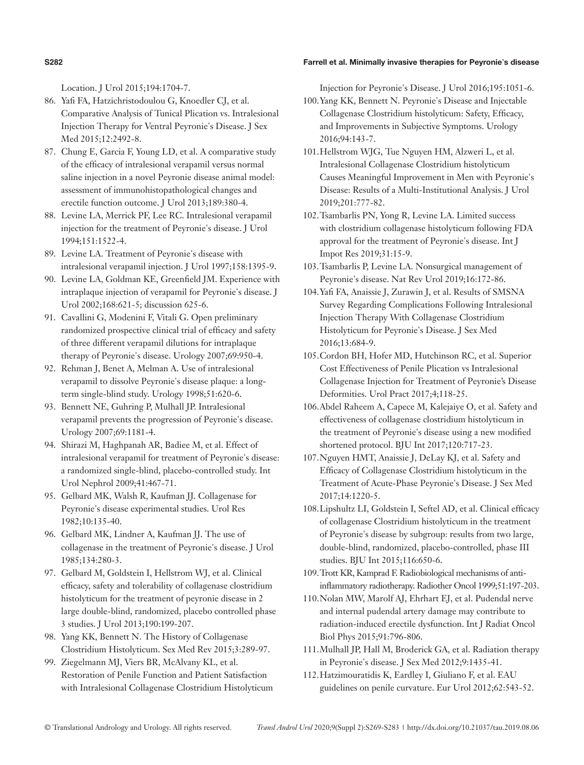#### **S282** Farrell et al. Minimally invasive therapies for Peyronie's disease

Location. J Urol 2015;194:1704-7.

- 86. Yafi FA, Hatzichristodoulou G, Knoedler CJ, et al. Comparative Analysis of Tunical Plication vs. Intralesional Injection Therapy for Ventral Peyronie's Disease. J Sex Med 2015;12:2492-8.
- 87. Chung E, Garcia F, Young LD, et al. A comparative study of the efficacy of intralesional verapamil versus normal saline injection in a novel Peyronie disease animal model: assessment of immunohistopathological changes and erectile function outcome. J Urol 2013;189:380-4.
- 88. Levine LA, Merrick PF, Lee RC. Intralesional verapamil injection for the treatment of Peyronie's disease. J Urol 1994;151:1522-4.
- 89. Levine LA. Treatment of Peyronie's disease with intralesional verapamil injection. J Urol 1997;158:1395-9.
- 90. Levine LA, Goldman KE, Greenfield JM. Experience with intraplaque injection of verapamil for Peyronie's disease. J Urol 2002;168:621-5; discussion 625-6.
- 91. Cavallini G, Modenini F, Vitali G. Open preliminary randomized prospective clinical trial of efficacy and safety of three different verapamil dilutions for intraplaque therapy of Peyronie's disease. Urology 2007;69:950-4.
- 92. Rehman J, Benet A, Melman A. Use of intralesional verapamil to dissolve Peyronie's disease plaque: a longterm single-blind study. Urology 1998;51:620-6.
- 93. Bennett NE, Guhring P, Mulhall JP. Intralesional verapamil prevents the progression of Peyronie's disease. Urology 2007;69:1181-4.
- 94. Shirazi M, Haghpanah AR, Badiee M, et al. Effect of intralesional verapamil for treatment of Peyronie's disease: a randomized single-blind, placebo-controlled study. Int Urol Nephrol 2009;41:467-71.
- 95. Gelbard MK, Walsh R, Kaufman JJ. Collagenase for Peyronie's disease experimental studies. Urol Res 1982;10:135-40.
- 96. Gelbard MK, Lindner A, Kaufman JJ. The use of collagenase in the treatment of Peyronie's disease. J Urol 1985;134:280-3.
- 97. Gelbard M, Goldstein I, Hellstrom WJ, et al. Clinical efficacy, safety and tolerability of collagenase clostridium histolyticum for the treatment of peyronie disease in 2 large double-blind, randomized, placebo controlled phase 3 studies. J Urol 2013;190:199-207.
- 98. Yang KK, Bennett N. The History of Collagenase Clostridium Histolyticum. Sex Med Rev 2015;3:289-97.
- 99. Ziegelmann MJ, Viers BR, McAlvany KL, et al. Restoration of Penile Function and Patient Satisfaction with Intralesional Collagenase Clostridium Histolyticum

Injection for Peyronie's Disease. J Urol 2016;195:1051-6.

- 100.Yang KK, Bennett N. Peyronie's Disease and Injectable Collagenase Clostridium histolyticum: Safety, Efficacy, and Improvements in Subjective Symptoms. Urology 2016;94:143-7.
- 101.Hellstrom WJG, Tue Nguyen HM, Alzweri L, et al. Intralesional Collagenase Clostridium histolyticum Causes Meaningful Improvement in Men with Peyronie's Disease: Results of a Multi-Institutional Analysis. J Urol 2019;201:777-82.
- 102.Tsambarlis PN, Yong R, Levine LA. Limited success with clostridium collagenase histolyticum following FDA approval for the treatment of Peyronie's disease. Int J Impot Res 2019;31:15-9.
- 103.Tsambarlis P, Levine LA. Nonsurgical management of Peyronie's disease. Nat Rev Urol 2019;16:172-86.
- 104.Yafi FA, Anaissie J, Zurawin J, et al. Results of SMSNA Survey Regarding Complications Following Intralesional Injection Therapy With Collagenase Clostridium Histolyticum for Peyronie's Disease. J Sex Med 2016;13:684-9.
- 105.Cordon BH, Hofer MD, Hutchinson RC, et al. Superior Cost Effectiveness of Penile Plication vs Intralesional Collagenase Injection for Treatment of Peyronie's Disease Deformities. Urol Pract 2017;4;118-25.
- 106.Abdel Raheem A, Capece M, Kalejaiye O, et al. Safety and effectiveness of collagenase clostridium histolyticum in the treatment of Peyronie's disease using a new modified shortened protocol. BJU Int 2017;120:717-23.
- 107.Nguyen HMT, Anaissie J, DeLay KJ, et al. Safety and Efficacy of Collagenase Clostridium histolyticum in the Treatment of Acute-Phase Peyronie's Disease. J Sex Med 2017;14:1220-5.
- 108.Lipshultz LI, Goldstein I, Seftel AD, et al. Clinical efficacy of collagenase Clostridium histolyticum in the treatment of Peyronie's disease by subgroup: results from two large, double-blind, randomized, placebo-controlled, phase III studies. BJU Int 2015;116:650-6.
- 109.Trott KR, Kamprad F. Radiobiological mechanisms of antiinflammatory radiotherapy. Radiother Oncol 1999;51:197-203.
- 110.Nolan MW, Marolf AJ, Ehrhart EJ, et al. Pudendal nerve and internal pudendal artery damage may contribute to radiation-induced erectile dysfunction. Int J Radiat Oncol Biol Phys 2015;91:796-806.
- 111.Mulhall JP, Hall M, Broderick GA, et al. Radiation therapy in Peyronie's disease. J Sex Med 2012;9:1435-41.
- 112.Hatzimouratidis K, Eardley I, Giuliano F, et al. EAU guidelines on penile curvature. Eur Urol 2012;62:543-52.